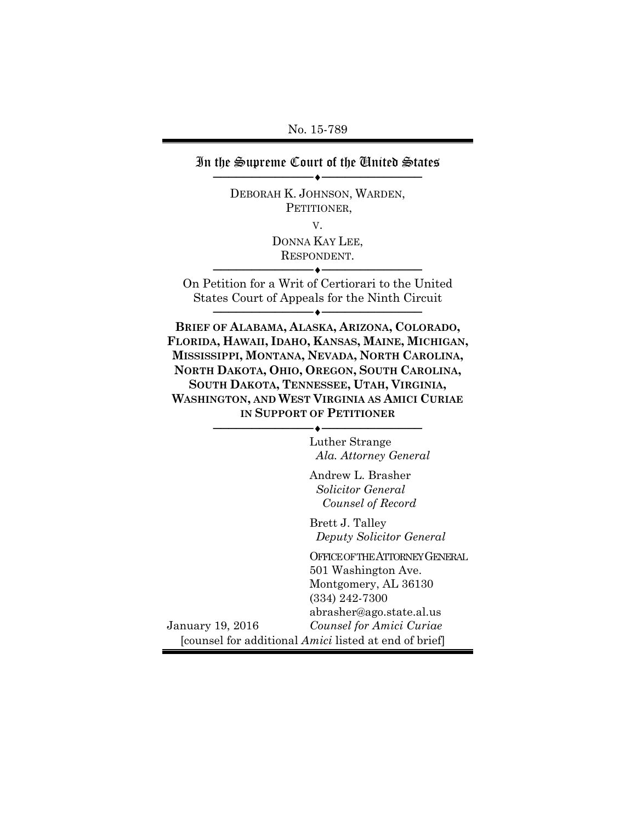No. 15-789

#### In the Supreme Court of the United States ──────────────────────────

DEBORAH K. JOHNSON, WARDEN, PETITIONER, V. DONNA KAY LEE,

RESPONDENT. ──────────────────────────

On Petition for a Writ of Certiorari to the United States Court of Appeals for the Ninth Circuit ──────────────────────────

**BRIEF OF ALABAMA, ALASKA, ARIZONA, COLORADO, FLORIDA, HAWAII, IDAHO, KANSAS, MAINE, MICHIGAN, MISSISSIPPI, MONTANA, NEVADA, NORTH CAROLINA, NORTH DAKOTA, OHIO, OREGON, SOUTH CAROLINA, SOUTH DAKOTA, TENNESSEE, UTAH, VIRGINIA, WASHINGTON, AND WEST VIRGINIA AS AMICI CURIAE IN SUPPORT OF PETITIONER**

──────────────────────────

Luther Strange  *Ala. Attorney General* 

Andrew L. Brasher  *Solicitor General Counsel of Record* 

Brett J. Talley  *Deputy Solicitor General* 

OFFICE OF THE ATTORNEY GENERAL 501 Washington Ave. Montgomery, AL 36130 (334) 242-7300 abrasher@ago.state.al.us *Counsel for Amici Curiae* 

 January 19, 2016 [counsel for additional *Amici* listed at end of brief]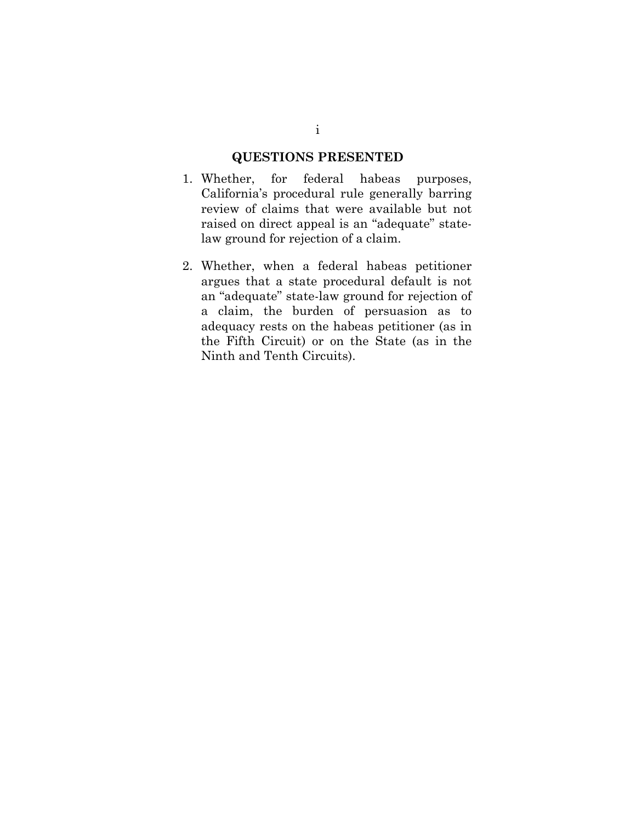## **QUESTIONS PRESENTED**

- 1. Whether, for federal habeas purposes, California's procedural rule generally barring review of claims that were available but not raised on direct appeal is an "adequate" statelaw ground for rejection of a claim.
- 2. Whether, when a federal habeas petitioner argues that a state procedural default is not an "adequate" state-law ground for rejection of a claim, the burden of persuasion as to adequacy rests on the habeas petitioner (as in the Fifth Circuit) or on the State (as in the Ninth and Tenth Circuits).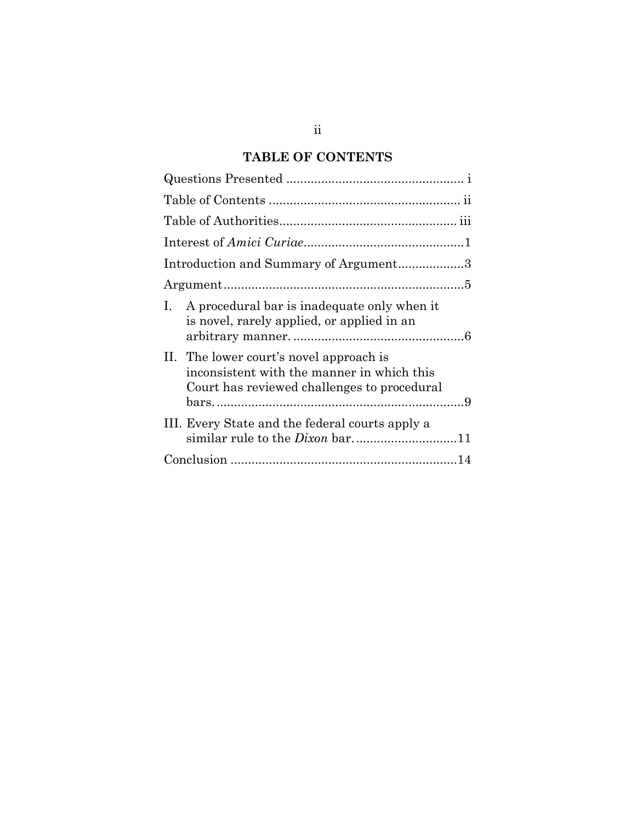# **TABLE OF CONTENTS**

| Introduction and Summary of Argument3                                                                                                |
|--------------------------------------------------------------------------------------------------------------------------------------|
|                                                                                                                                      |
| A procedural bar is inadequate only when it<br>$\mathbf{L}$<br>is novel, rarely applied, or applied in an                            |
| II. The lower court's novel approach is<br>inconsistent with the manner in which this<br>Court has reviewed challenges to procedural |
| III. Every State and the federal courts apply a                                                                                      |
|                                                                                                                                      |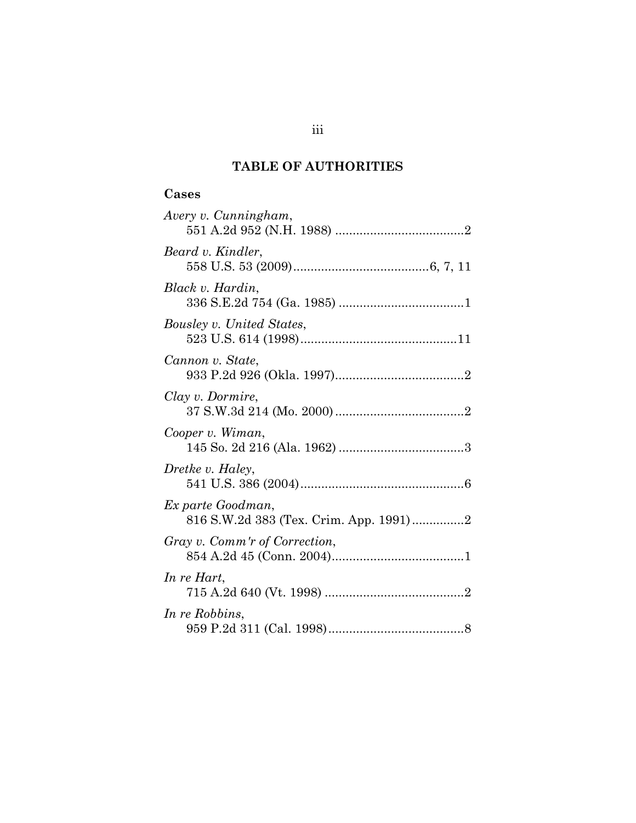# **TABLE OF AUTHORITIES**

## **Cases**

| Avery v. Cunningham,                                        |
|-------------------------------------------------------------|
| Beard v. Kindler,                                           |
| Black v. Hardin,                                            |
| Bousley v. United States,                                   |
| Cannon v. State,                                            |
| Clay v. Dormire,                                            |
| Cooper v. Wiman,                                            |
| Dretke v. Haley,                                            |
| Ex parte Goodman,<br>816 S.W.2d 383 (Tex. Crim. App. 1991)2 |
| Gray v. Comm'r of Correction,                               |
| In re Hart,                                                 |
| In re Robbins,                                              |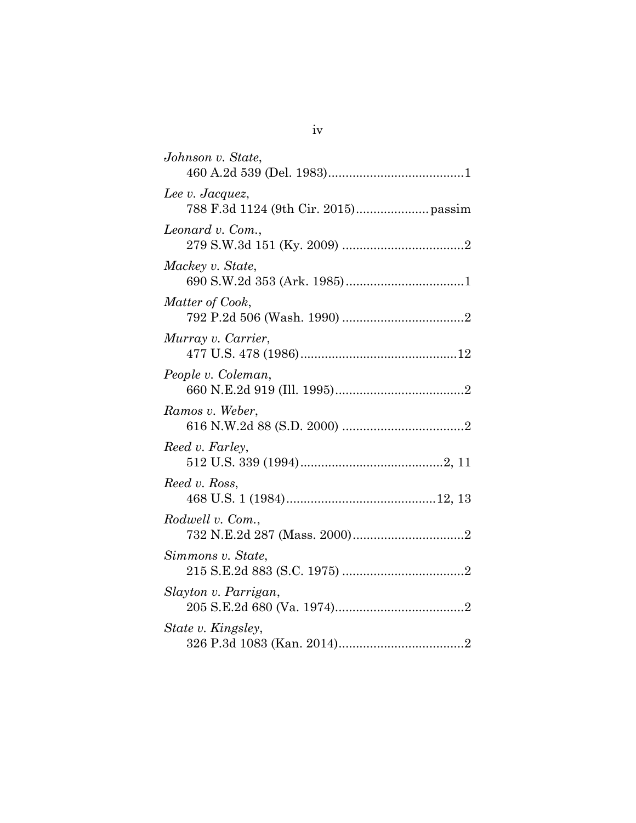| Johnson v. State,    |
|----------------------|
| Lee v. Jacquez,      |
| Leonard v. Com.,     |
| Mackey v. State,     |
| Matter of Cook,      |
| Murray v. Carrier,   |
| People v. Coleman,   |
| Ramos v. Weber,      |
| Reed v. Farley,      |
| Reed v. Ross,        |
| Rodwell v. Com.,     |
| Simmons v. State,    |
| Slayton v. Parrigan, |
| State v. Kingsley,   |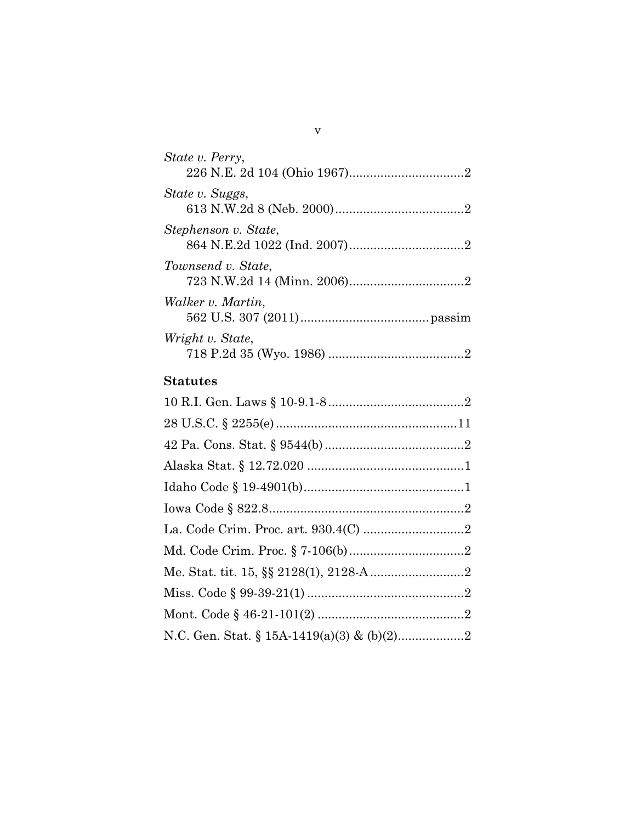| State v. Perry,      |
|----------------------|
| State v. Suggs,      |
| Stephenson v. State, |
| Townsend v. State,   |
| Walker v. Martin,    |
| Wright v. State,     |
| Statutes             |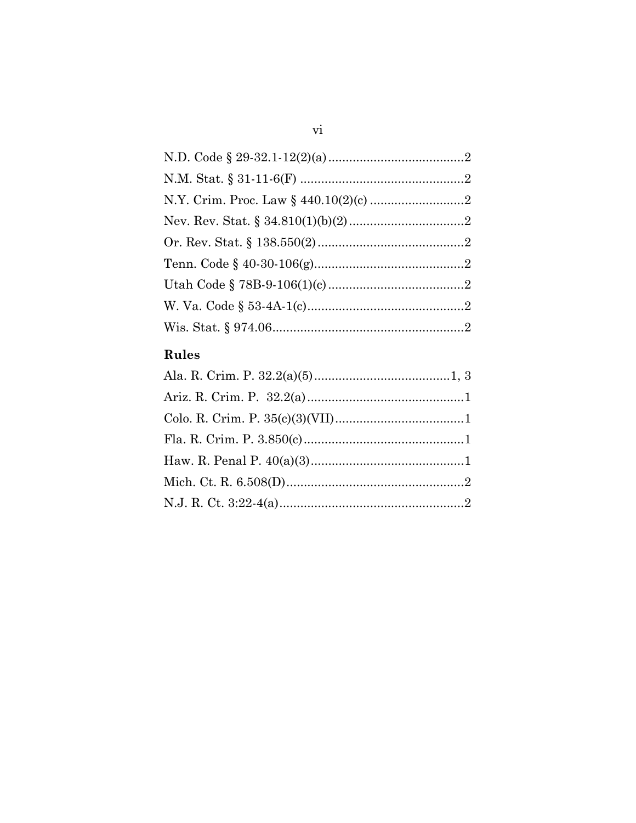# Rules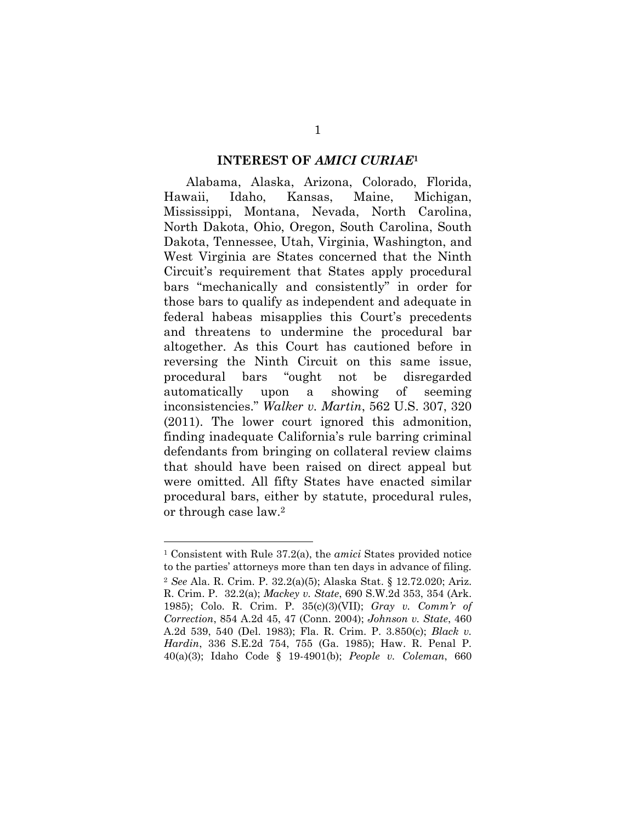#### **INTEREST OF** *AMICI CURIAE***<sup>1</sup>**

Alabama, Alaska, Arizona, Colorado, Florida, Hawaii, Idaho, Kansas, Maine, Michigan, Mississippi, Montana, Nevada, North Carolina, North Dakota, Ohio, Oregon, South Carolina, South Dakota, Tennessee, Utah, Virginia, Washington, and West Virginia are States concerned that the Ninth Circuit's requirement that States apply procedural bars "mechanically and consistently" in order for those bars to qualify as independent and adequate in federal habeas misapplies this Court's precedents and threatens to undermine the procedural bar altogether. As this Court has cautioned before in reversing the Ninth Circuit on this same issue, procedural bars "ought not be disregarded automatically upon a showing of seeming inconsistencies." *Walker v. Martin*, 562 U.S. 307, 320 (2011). The lower court ignored this admonition, finding inadequate California's rule barring criminal defendants from bringing on collateral review claims that should have been raised on direct appeal but were omitted. All fifty States have enacted similar procedural bars, either by statute, procedural rules, or through case law.2

<sup>1</sup> Consistent with Rule 37.2(a), the *amici* States provided notice to the parties' attorneys more than ten days in advance of filing. <sup>2</sup> *See* Ala. R. Crim. P. 32.2(a)(5); Alaska Stat. § 12.72.020; Ariz. R. Crim. P. 32.2(a); *Mackey v. State*, 690 S.W.2d 353, 354 (Ark. 1985); Colo. R. Crim. P. 35(c)(3)(VII); *Gray v. Comm'r of Correction*, 854 A.2d 45, 47 (Conn. 2004); *Johnson v. State*, 460 A.2d 539, 540 (Del. 1983); Fla. R. Crim. P. 3.850(c); *Black v. Hardin*, 336 S.E.2d 754, 755 (Ga. 1985); Haw. R. Penal P. 40(a)(3); Idaho Code § 19-4901(b); *People v. Coleman*, 660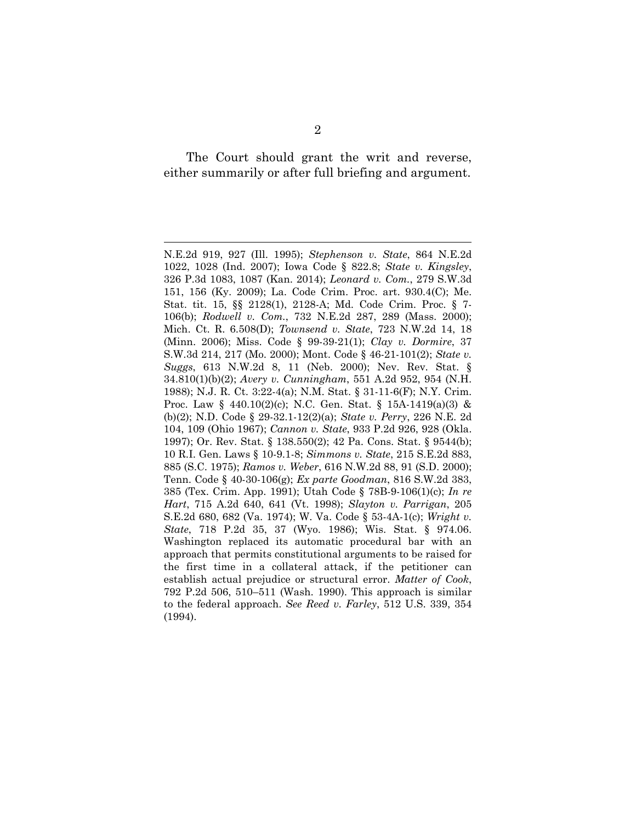The Court should grant the writ and reverse, either summarily or after full briefing and argument.

l

N.E.2d 919, 927 (Ill. 1995); *Stephenson v. State*, 864 N.E.2d 1022, 1028 (Ind. 2007); Iowa Code § 822.8; *State v. Kingsley*, 326 P.3d 1083, 1087 (Kan. 2014); *Leonard v. Com.*, 279 S.W.3d 151, 156 (Ky. 2009); La. Code Crim. Proc. art. 930.4(C); Me. Stat. tit. 15, §§ 2128(1), 2128-A; Md. Code Crim. Proc. § 7- 106(b); *Rodwell v. Com.*, 732 N.E.2d 287, 289 (Mass. 2000); Mich. Ct. R. 6.508(D); *Townsend v. State*, 723 N.W.2d 14, 18 (Minn. 2006); Miss. Code § 99-39-21(1); *Clay v. Dormire*, 37 S.W.3d 214, 217 (Mo. 2000); Mont. Code § 46-21-101(2); *State v. Suggs*, 613 N.W.2d 8, 11 (Neb. 2000); Nev. Rev. Stat. § 34.810(1)(b)(2); *Avery v. Cunningham*, 551 A.2d 952, 954 (N.H. 1988); N.J. R. Ct. 3:22-4(a); N.M. Stat. § 31-11-6(F); N.Y. Crim. Proc. Law § 440.10(2)(c); N.C. Gen. Stat. § 15A-1419(a)(3) & (b)(2); N.D. Code § 29-32.1-12(2)(a); *State v. Perry*, 226 N.E. 2d 104, 109 (Ohio 1967); *Cannon v. State*, 933 P.2d 926, 928 (Okla. 1997); Or. Rev. Stat. § 138.550(2); 42 Pa. Cons. Stat. § 9544(b); 10 R.I. Gen. Laws § 10-9.1-8; *Simmons v. State*, 215 S.E.2d 883, 885 (S.C. 1975); *Ramos v. Weber*, 616 N.W.2d 88, 91 (S.D. 2000); Tenn. Code § 40-30-106(g); *Ex parte Goodman*, 816 S.W.2d 383, 385 (Tex. Crim. App. 1991); Utah Code § 78B-9-106(1)(c); *In re Hart*, 715 A.2d 640, 641 (Vt. 1998); *Slayton v. Parrigan*, 205 S.E.2d 680, 682 (Va. 1974); W. Va. Code § 53-4A-1(c); *Wright v. State*, 718 P.2d 35, 37 (Wyo. 1986); Wis. Stat. § 974.06. Washington replaced its automatic procedural bar with an approach that permits constitutional arguments to be raised for the first time in a collateral attack, if the petitioner can establish actual prejudice or structural error. *Matter of Cook*, 792 P.2d 506, 510–511 (Wash. 1990). This approach is similar to the federal approach. *See Reed v. Farley*, 512 U.S. 339, 354 (1994).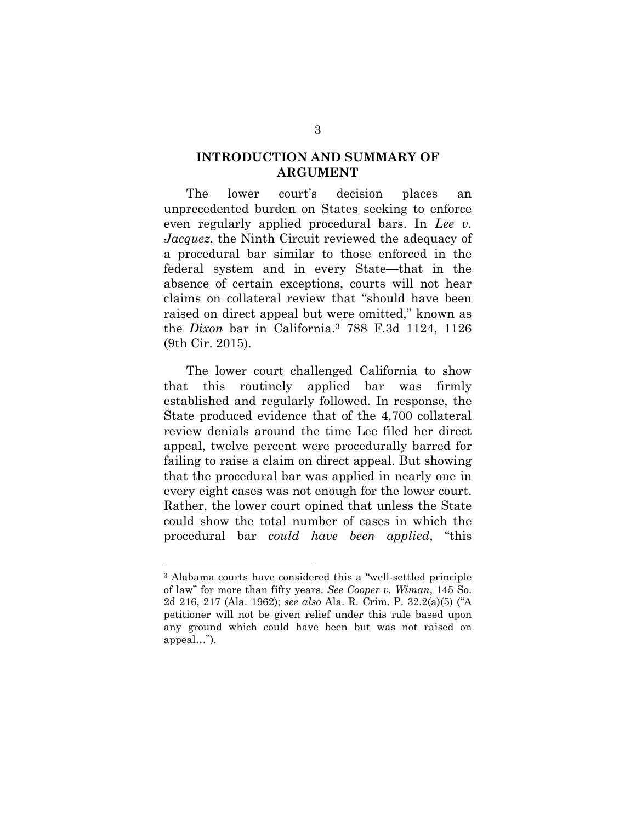### **INTRODUCTION AND SUMMARY OF ARGUMENT**

The lower court's decision places an unprecedented burden on States seeking to enforce even regularly applied procedural bars. In *Lee v. Jacquez*, the Ninth Circuit reviewed the adequacy of a procedural bar similar to those enforced in the federal system and in every State—that in the absence of certain exceptions, courts will not hear claims on collateral review that "should have been raised on direct appeal but were omitted," known as the *Dixon* bar in California.3 788 F.3d 1124, 1126 (9th Cir. 2015).

The lower court challenged California to show that this routinely applied bar was firmly established and regularly followed. In response, the State produced evidence that of the 4,700 collateral review denials around the time Lee filed her direct appeal, twelve percent were procedurally barred for failing to raise a claim on direct appeal. But showing that the procedural bar was applied in nearly one in every eight cases was not enough for the lower court. Rather, the lower court opined that unless the State could show the total number of cases in which the procedural bar *could have been applied*, "this

<sup>3</sup> Alabama courts have considered this a "well-settled principle of law" for more than fifty years. *See Cooper v. Wiman*, 145 So. 2d 216, 217 (Ala. 1962); *see also* Ala. R. Crim. P. 32.2(a)(5) ("A petitioner will not be given relief under this rule based upon any ground which could have been but was not raised on appeal…").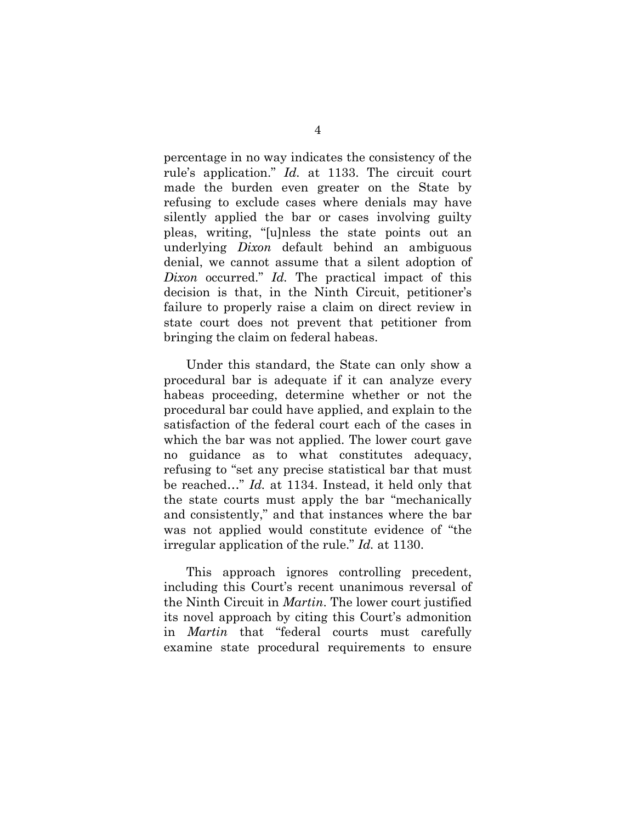percentage in no way indicates the consistency of the rule's application." *Id.* at 1133. The circuit court made the burden even greater on the State by refusing to exclude cases where denials may have silently applied the bar or cases involving guilty pleas, writing, "[u]nless the state points out an underlying *Dixon* default behind an ambiguous denial, we cannot assume that a silent adoption of *Dixon* occurred." *Id.* The practical impact of this decision is that, in the Ninth Circuit, petitioner's failure to properly raise a claim on direct review in state court does not prevent that petitioner from bringing the claim on federal habeas.

Under this standard, the State can only show a procedural bar is adequate if it can analyze every habeas proceeding, determine whether or not the procedural bar could have applied, and explain to the satisfaction of the federal court each of the cases in which the bar was not applied. The lower court gave no guidance as to what constitutes adequacy, refusing to "set any precise statistical bar that must be reached…" *Id.* at 1134. Instead, it held only that the state courts must apply the bar "mechanically and consistently," and that instances where the bar was not applied would constitute evidence of "the irregular application of the rule." *Id.* at 1130.

This approach ignores controlling precedent, including this Court's recent unanimous reversal of the Ninth Circuit in *Martin*. The lower court justified its novel approach by citing this Court's admonition in *Martin* that "federal courts must carefully examine state procedural requirements to ensure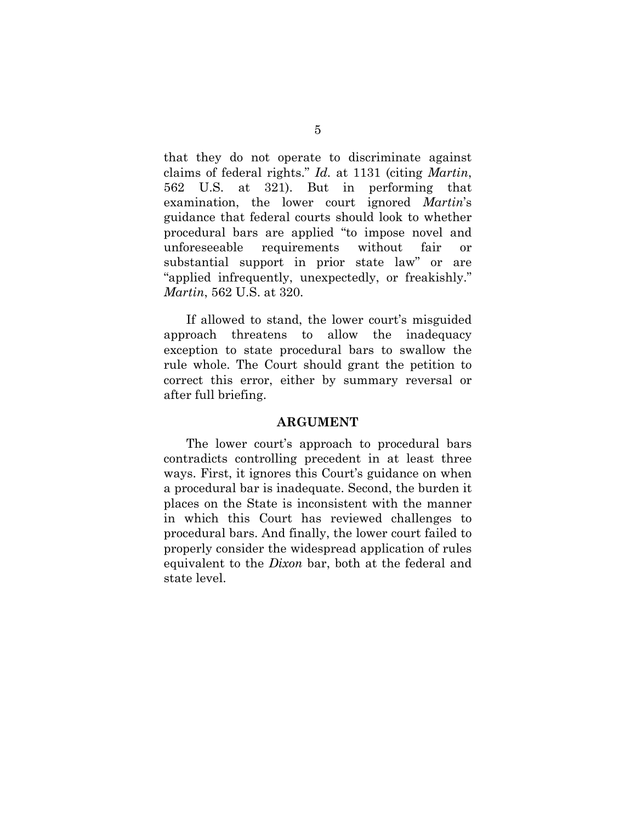that they do not operate to discriminate against claims of federal rights." *Id.* at 1131 (citing *Martin*, 562 U.S. at 321). But in performing that examination, the lower court ignored *Martin*'s guidance that federal courts should look to whether procedural bars are applied "to impose novel and unforeseeable requirements without fair or substantial support in prior state law" or are "applied infrequently, unexpectedly, or freakishly." *Martin*, 562 U.S. at 320.

If allowed to stand, the lower court's misguided approach threatens to allow the inadequacy exception to state procedural bars to swallow the rule whole. The Court should grant the petition to correct this error, either by summary reversal or after full briefing.

#### **ARGUMENT**

The lower court's approach to procedural bars contradicts controlling precedent in at least three ways. First, it ignores this Court's guidance on when a procedural bar is inadequate. Second, the burden it places on the State is inconsistent with the manner in which this Court has reviewed challenges to procedural bars. And finally, the lower court failed to properly consider the widespread application of rules equivalent to the *Dixon* bar, both at the federal and state level.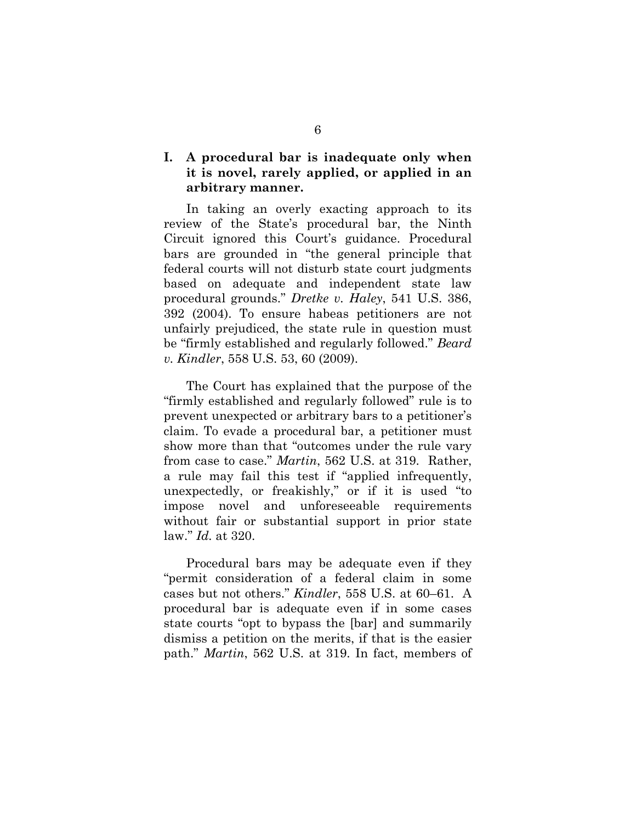## **I. A procedural bar is inadequate only when it is novel, rarely applied, or applied in an arbitrary manner.**

In taking an overly exacting approach to its review of the State's procedural bar, the Ninth Circuit ignored this Court's guidance. Procedural bars are grounded in "the general principle that federal courts will not disturb state court judgments based on adequate and independent state law procedural grounds." *Dretke v. Haley*, 541 U.S. 386, 392 (2004). To ensure habeas petitioners are not unfairly prejudiced, the state rule in question must be "firmly established and regularly followed." *Beard v. Kindler*, 558 U.S. 53, 60 (2009).

The Court has explained that the purpose of the "firmly established and regularly followed" rule is to prevent unexpected or arbitrary bars to a petitioner's claim. To evade a procedural bar, a petitioner must show more than that "outcomes under the rule vary from case to case." *Martin*, 562 U.S. at 319. Rather, a rule may fail this test if "applied infrequently, unexpectedly, or freakishly," or if it is used "to impose novel and unforeseeable requirements without fair or substantial support in prior state law." *Id.* at 320.

Procedural bars may be adequate even if they "permit consideration of a federal claim in some cases but not others." *Kindler*, 558 U.S. at 60–61. A procedural bar is adequate even if in some cases state courts "opt to bypass the [bar] and summarily dismiss a petition on the merits, if that is the easier path." *Martin*, 562 U.S. at 319. In fact, members of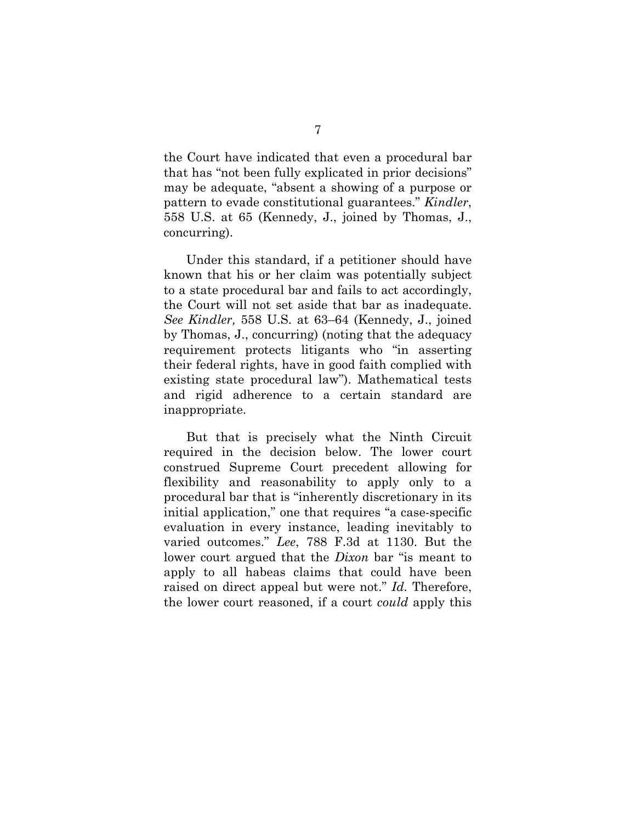the Court have indicated that even a procedural bar that has "not been fully explicated in prior decisions" may be adequate, "absent a showing of a purpose or pattern to evade constitutional guarantees." *Kindler*, 558 U.S. at 65 (Kennedy, J., joined by Thomas, J., concurring).

Under this standard, if a petitioner should have known that his or her claim was potentially subject to a state procedural bar and fails to act accordingly, the Court will not set aside that bar as inadequate. *See Kindler,* 558 U.S. at 63–64 (Kennedy, J., joined by Thomas, J., concurring) (noting that the adequacy requirement protects litigants who "in asserting their federal rights, have in good faith complied with existing state procedural law"). Mathematical tests and rigid adherence to a certain standard are inappropriate.

But that is precisely what the Ninth Circuit required in the decision below. The lower court construed Supreme Court precedent allowing for flexibility and reasonability to apply only to a procedural bar that is "inherently discretionary in its initial application," one that requires "a case-specific evaluation in every instance, leading inevitably to varied outcomes." *Lee*, 788 F.3d at 1130. But the lower court argued that the *Dixon* bar "is meant to apply to all habeas claims that could have been raised on direct appeal but were not." *Id.* Therefore, the lower court reasoned, if a court *could* apply this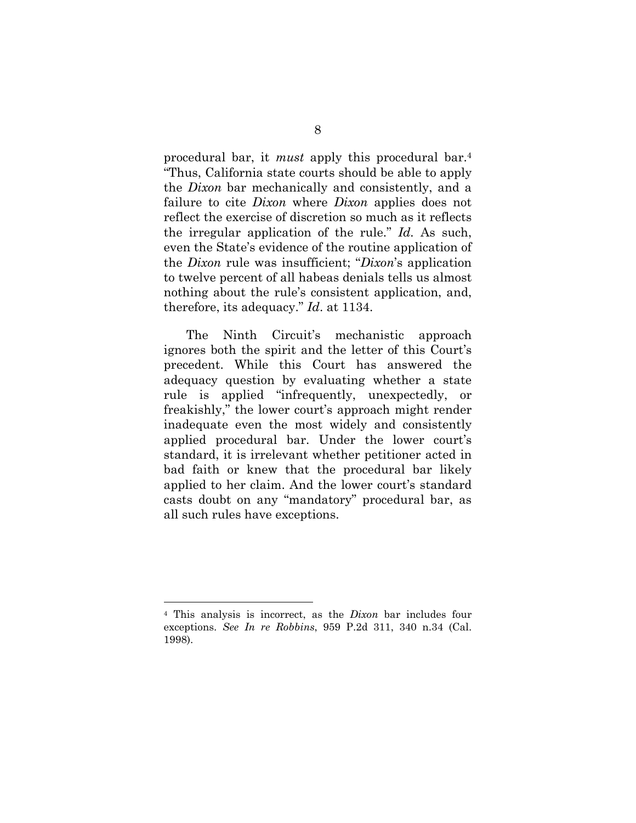procedural bar, it *must* apply this procedural bar.4 "Thus, California state courts should be able to apply the *Dixon* bar mechanically and consistently, and a failure to cite *Dixon* where *Dixon* applies does not reflect the exercise of discretion so much as it reflects the irregular application of the rule." *Id.* As such, even the State's evidence of the routine application of the *Dixon* rule was insufficient; "*Dixon*'s application to twelve percent of all habeas denials tells us almost nothing about the rule's consistent application, and, therefore, its adequacy." *Id*. at 1134.

The Ninth Circuit's mechanistic approach ignores both the spirit and the letter of this Court's precedent. While this Court has answered the adequacy question by evaluating whether a state rule is applied "infrequently, unexpectedly, or freakishly," the lower court's approach might render inadequate even the most widely and consistently applied procedural bar. Under the lower court's standard, it is irrelevant whether petitioner acted in bad faith or knew that the procedural bar likely applied to her claim. And the lower court's standard casts doubt on any "mandatory" procedural bar, as all such rules have exceptions.

l

<sup>4</sup> This analysis is incorrect, as the *Dixon* bar includes four exceptions. *See In re Robbins*, 959 P.2d 311, 340 n.34 (Cal. 1998).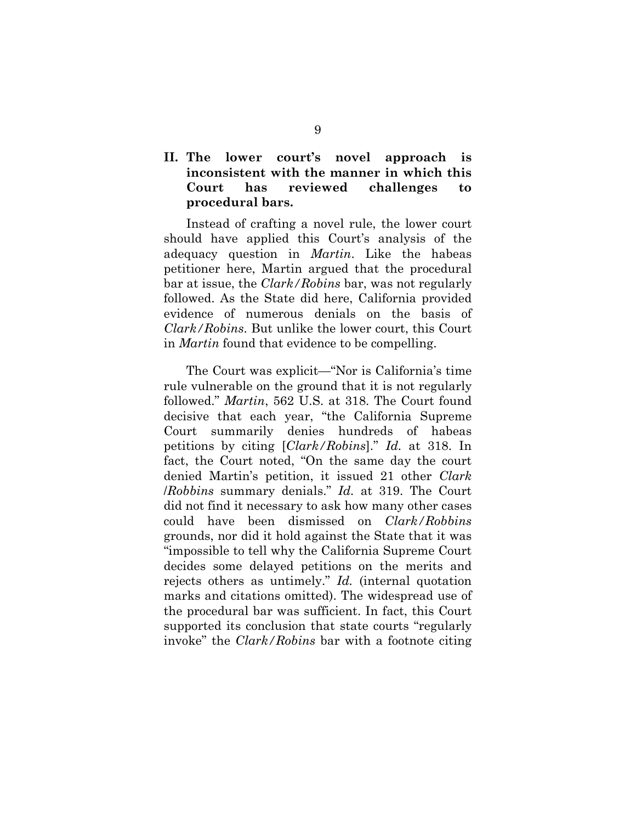### **II. The lower court's novel approach is inconsistent with the manner in which this Court has reviewed challenges to procedural bars.**

Instead of crafting a novel rule, the lower court should have applied this Court's analysis of the adequacy question in *Martin*. Like the habeas petitioner here, Martin argued that the procedural bar at issue, the *Clark/Robins* bar, was not regularly followed. As the State did here, California provided evidence of numerous denials on the basis of *Clark/Robins*. But unlike the lower court, this Court in *Martin* found that evidence to be compelling.

The Court was explicit—"Nor is California's time rule vulnerable on the ground that it is not regularly followed." *Martin*, 562 U.S. at 318. The Court found decisive that each year, "the California Supreme Court summarily denies hundreds of habeas petitions by citing [*Clark/Robins*]." *Id.* at 318. In fact, the Court noted, "On the same day the court denied Martin's petition, it issued 21 other *Clark* /*Robbins* summary denials." *Id.* at 319. The Court did not find it necessary to ask how many other cases could have been dismissed on *Clark/Robbins* grounds, nor did it hold against the State that it was "impossible to tell why the California Supreme Court decides some delayed petitions on the merits and rejects others as untimely." *Id.* (internal quotation marks and citations omitted). The widespread use of the procedural bar was sufficient. In fact, this Court supported its conclusion that state courts "regularly invoke" the *Clark/Robins* bar with a footnote citing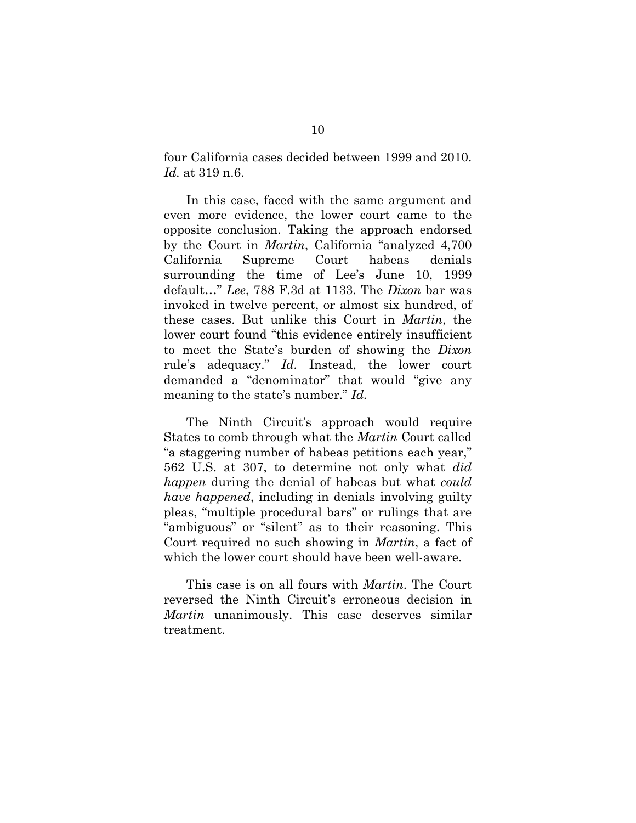four California cases decided between 1999 and 2010. *Id.* at 319 n.6.

In this case, faced with the same argument and even more evidence, the lower court came to the opposite conclusion. Taking the approach endorsed by the Court in *Martin*, California "analyzed 4,700 California Supreme Court habeas denials surrounding the time of Lee's June 10, 1999 default…" *Lee*, 788 F.3d at 1133. The *Dixon* bar was invoked in twelve percent, or almost six hundred, of these cases. But unlike this Court in *Martin*, the lower court found "this evidence entirely insufficient to meet the State's burden of showing the *Dixon*  rule's adequacy." *Id.* Instead, the lower court demanded a "denominator" that would "give any meaning to the state's number." *Id.*

The Ninth Circuit's approach would require States to comb through what the *Martin* Court called "a staggering number of habeas petitions each year," 562 U.S. at 307, to determine not only what *did happen* during the denial of habeas but what *could have happened*, including in denials involving guilty pleas, "multiple procedural bars" or rulings that are "ambiguous" or "silent" as to their reasoning. This Court required no such showing in *Martin*, a fact of which the lower court should have been well-aware.

This case is on all fours with *Martin*. The Court reversed the Ninth Circuit's erroneous decision in *Martin* unanimously. This case deserves similar treatment.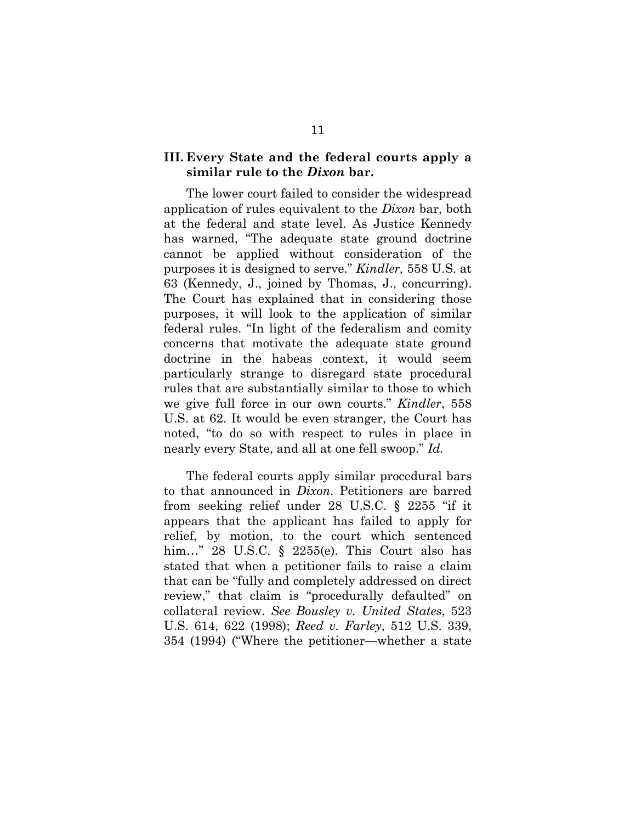#### **III. Every State and the federal courts apply a similar rule to the** *Dixon* **bar.**

The lower court failed to consider the widespread application of rules equivalent to the *Dixon* bar, both at the federal and state level. As Justice Kennedy has warned, "The adequate state ground doctrine cannot be applied without consideration of the purposes it is designed to serve." *Kindler,* 558 U.S. at 63 (Kennedy, J., joined by Thomas, J., concurring). The Court has explained that in considering those purposes, it will look to the application of similar federal rules. "In light of the federalism and comity concerns that motivate the adequate state ground doctrine in the habeas context, it would seem particularly strange to disregard state procedural rules that are substantially similar to those to which we give full force in our own courts." *Kindler*, 558 U.S. at 62. It would be even stranger, the Court has noted, "to do so with respect to rules in place in nearly every State, and all at one fell swoop." *Id.*

The federal courts apply similar procedural bars to that announced in *Dixon.* Petitioners are barred from seeking relief under 28 U.S.C. § 2255 "if it appears that the applicant has failed to apply for relief, by motion, to the court which sentenced him…" 28 U.S.C. § 2255(e). This Court also has stated that when a petitioner fails to raise a claim that can be "fully and completely addressed on direct review," that claim is "procedurally defaulted" on collateral review. *See Bousley v. United States*, 523 U.S. 614, 622 (1998); *Reed v. Farley*, 512 U.S. 339, 354 (1994) ("Where the petitioner—whether a state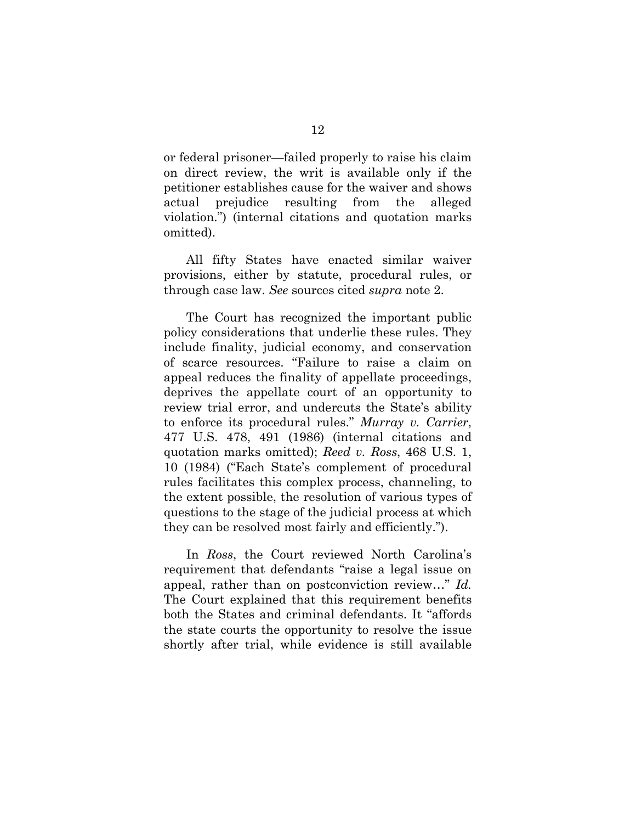or federal prisoner—failed properly to raise his claim on direct review, the writ is available only if the petitioner establishes cause for the waiver and shows actual prejudice resulting from the alleged violation.") (internal citations and quotation marks omitted).

All fifty States have enacted similar waiver provisions, either by statute, procedural rules, or through case law. *See* sources cited *supra* note 2.

The Court has recognized the important public policy considerations that underlie these rules. They include finality, judicial economy, and conservation of scarce resources. "Failure to raise a claim on appeal reduces the finality of appellate proceedings, deprives the appellate court of an opportunity to review trial error, and undercuts the State's ability to enforce its procedural rules." *Murray v. Carrier*, 477 U.S. 478, 491 (1986) (internal citations and quotation marks omitted); *Reed v. Ross*, 468 U.S. 1, 10 (1984) ("Each State's complement of procedural rules facilitates this complex process, channeling, to the extent possible, the resolution of various types of questions to the stage of the judicial process at which they can be resolved most fairly and efficiently.").

In *Ross*, the Court reviewed North Carolina's requirement that defendants "raise a legal issue on appeal, rather than on postconviction review…" *Id.* The Court explained that this requirement benefits both the States and criminal defendants. It "affords the state courts the opportunity to resolve the issue shortly after trial, while evidence is still available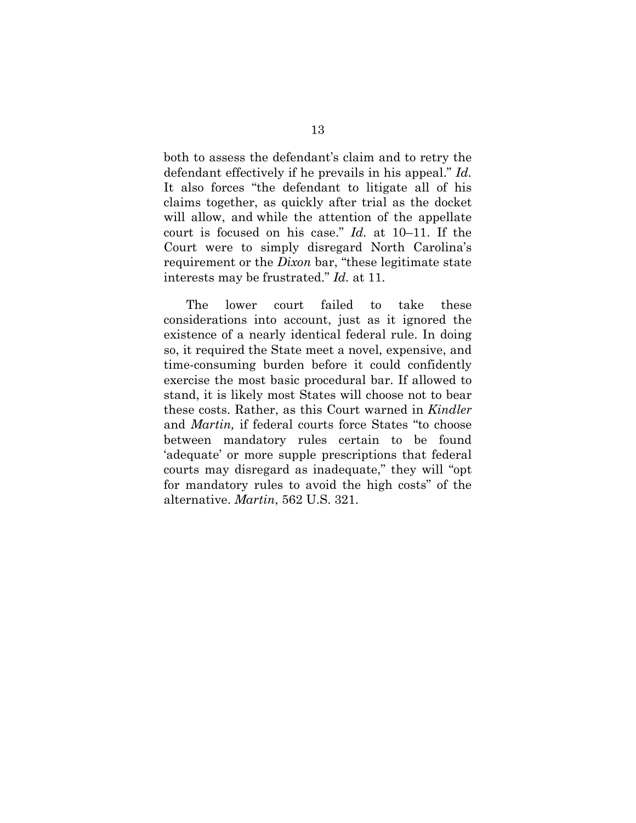both to assess the defendant's claim and to retry the defendant effectively if he prevails in his appeal." *Id.*  It also forces "the defendant to litigate all of his claims together, as quickly after trial as the docket will allow, and while the attention of the appellate court is focused on his case." *Id.* at 10–11. If the Court were to simply disregard North Carolina's requirement or the *Dixon* bar, "these legitimate state interests may be frustrated." *Id.* at 11.

The lower court failed to take these considerations into account, just as it ignored the existence of a nearly identical federal rule. In doing so, it required the State meet a novel, expensive, and time-consuming burden before it could confidently exercise the most basic procedural bar. If allowed to stand, it is likely most States will choose not to bear these costs. Rather, as this Court warned in *Kindler*  and *Martin,* if federal courts force States "to choose between mandatory rules certain to be found 'adequate' or more supple prescriptions that federal courts may disregard as inadequate," they will "opt for mandatory rules to avoid the high costs" of the alternative. *Martin*, 562 U.S. 321.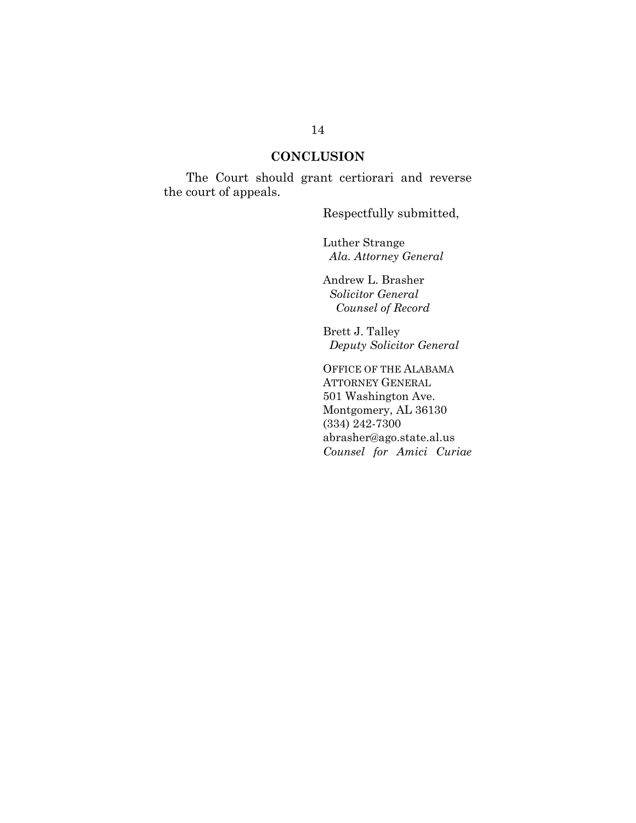## **CONCLUSION**

The Court should grant certiorari and reverse the court of appeals.

Respectfully submitted,

Luther Strange  *Ala. Attorney General* 

Andrew L. Brasher  *Solicitor General Counsel of Record* 

Brett J. Talley  *Deputy Solicitor General* 

OFFICE OF THE ALABAMA ATTORNEY GENERAL 501 Washington Ave. Montgomery, AL 36130 (334) 242-7300 abrasher@ago.state.al.us *Counsel for Amici Curiae*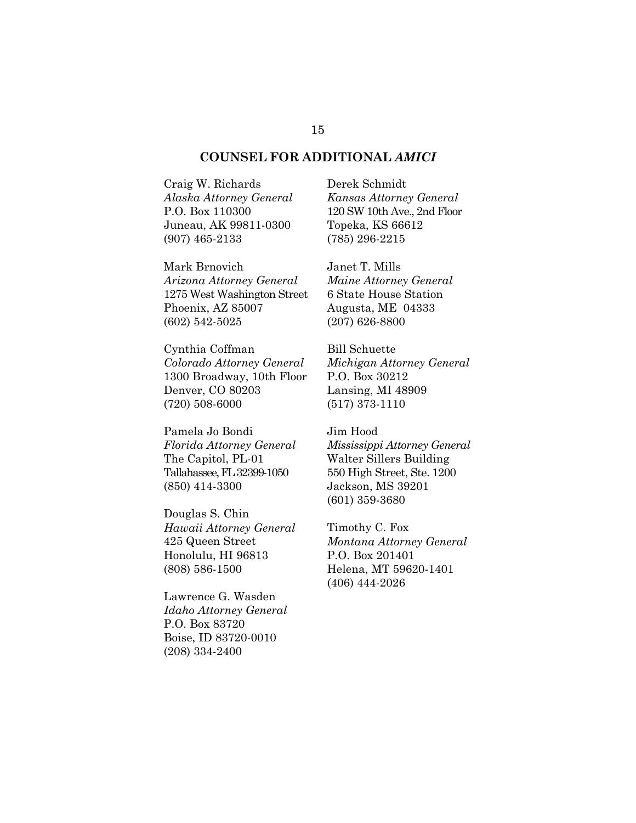#### **COUNSEL FOR ADDITIONAL** *AMICI*

Craig W. Richards *Alaska Attorney General*  P.O. Box 110300 Juneau, AK 99811-0300 (907) 465-2133

Mark Brnovich *Arizona Attorney General*  1275 West Washington Street Phoenix, AZ 85007 (602) 542-5025

Cynthia Coffman *Colorado Attorney General*  1300 Broadway, 10th Floor Denver, CO 80203 (720) 508-6000

Pamela Jo Bondi *Florida Attorney General* The Capitol, PL-01 Tallahassee, FL 32399-1050 (850) 414-3300

Douglas S. Chin *Hawaii Attorney General* 425 Queen Street Honolulu, HI 96813 (808) 586-1500

Lawrence G. Wasden *Idaho Attorney General*  P.O. Box 83720 Boise, ID 83720-0010 (208) 334-2400

Derek Schmidt *Kansas Attorney General*  120 SW 10th Ave., 2nd Floor Topeka, KS 66612 (785) 296-2215

Janet T. Mills *Maine Attorney General*  6 State House Station Augusta, ME 04333 (207) 626-8800

Bill Schuette *Michigan Attorney General*  P.O. Box 30212 Lansing, MI 48909 (517) 373-1110

Jim Hood *Mississippi Attorney General*  Walter Sillers Building 550 High Street, Ste. 1200 Jackson, MS 39201 (601) 359-3680

Timothy C. Fox *Montana Attorney General*  P.O. Box 201401 Helena, MT 59620-1401 (406) 444-2026